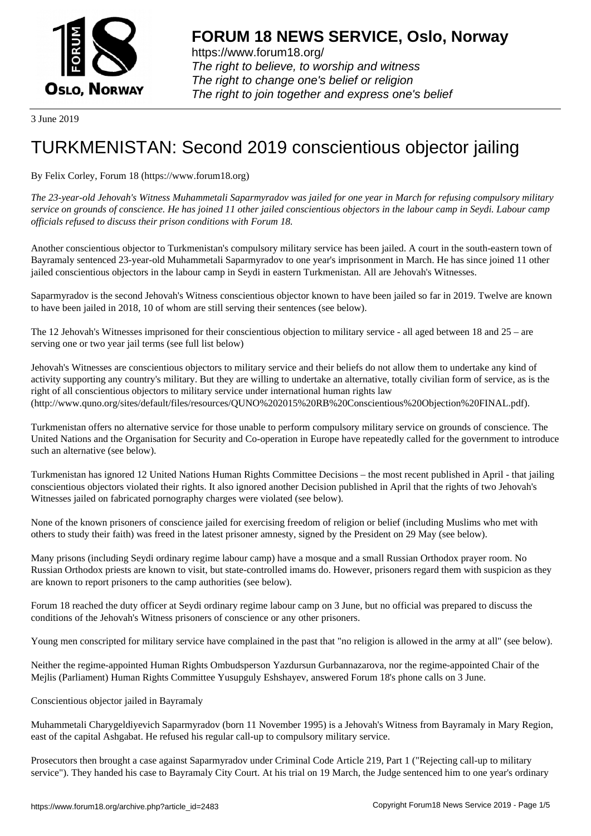

https://www.forum18.org/ The right to believe, to worship and witness The right to change one's belief or religion [The right to join together a](https://www.forum18.org/)nd express one's belief

3 June 2019

## [TURKMENISTA](https://www.forum18.org)N: Second 2019 conscientious objector jailing

## By Felix Corley, Forum 18 (https://www.forum18.org)

*The 23-year-old Jehovah's Witness Muhammetali Saparmyradov was jailed for one year in March for refusing compulsory military service on grounds of conscience. He has joined 11 other jailed conscientious objectors in the labour camp in Seydi. Labour camp officials refused to discuss their prison conditions with Forum 18.*

Another conscientious objector to Turkmenistan's compulsory military service has been jailed. A court in the south-eastern town of Bayramaly sentenced 23-year-old Muhammetali Saparmyradov to one year's imprisonment in March. He has since joined 11 other jailed conscientious objectors in the labour camp in Seydi in eastern Turkmenistan. All are Jehovah's Witnesses.

Saparmyradov is the second Jehovah's Witness conscientious objector known to have been jailed so far in 2019. Twelve are known to have been jailed in 2018, 10 of whom are still serving their sentences (see below).

The 12 Jehovah's Witnesses imprisoned for their conscientious objection to military service - all aged between 18 and 25 – are serving one or two year jail terms (see full list below)

Jehovah's Witnesses are conscientious objectors to military service and their beliefs do not allow them to undertake any kind of activity supporting any country's military. But they are willing to undertake an alternative, totally civilian form of service, as is the right of all conscientious objectors to military service under international human rights law (http://www.quno.org/sites/default/files/resources/QUNO%202015%20RB%20Conscientious%20Objection%20FINAL.pdf).

Turkmenistan offers no alternative service for those unable to perform compulsory military service on grounds of conscience. The United Nations and the Organisation for Security and Co-operation in Europe have repeatedly called for the government to introduce such an alternative (see below).

Turkmenistan has ignored 12 United Nations Human Rights Committee Decisions – the most recent published in April - that jailing conscientious objectors violated their rights. It also ignored another Decision published in April that the rights of two Jehovah's Witnesses jailed on fabricated pornography charges were violated (see below).

None of the known prisoners of conscience jailed for exercising freedom of religion or belief (including Muslims who met with others to study their faith) was freed in the latest prisoner amnesty, signed by the President on 29 May (see below).

Many prisons (including Seydi ordinary regime labour camp) have a mosque and a small Russian Orthodox prayer room. No Russian Orthodox priests are known to visit, but state-controlled imams do. However, prisoners regard them with suspicion as they are known to report prisoners to the camp authorities (see below).

Forum 18 reached the duty officer at Seydi ordinary regime labour camp on 3 June, but no official was prepared to discuss the conditions of the Jehovah's Witness prisoners of conscience or any other prisoners.

Young men conscripted for military service have complained in the past that "no religion is allowed in the army at all" (see below).

Neither the regime-appointed Human Rights Ombudsperson Yazdursun Gurbannazarova, nor the regime-appointed Chair of the Mejlis (Parliament) Human Rights Committee Yusupguly Eshshayev, answered Forum 18's phone calls on 3 June.

Conscientious objector jailed in Bayramaly

Muhammetali Charygeldiyevich Saparmyradov (born 11 November 1995) is a Jehovah's Witness from Bayramaly in Mary Region, east of the capital Ashgabat. He refused his regular call-up to compulsory military service.

Prosecutors then brought a case against Saparmyradov under Criminal Code Article 219, Part 1 ("Rejecting call-up to military service"). They handed his case to Bayramaly City Court. At his trial on 19 March, the Judge sentenced him to one year's ordinary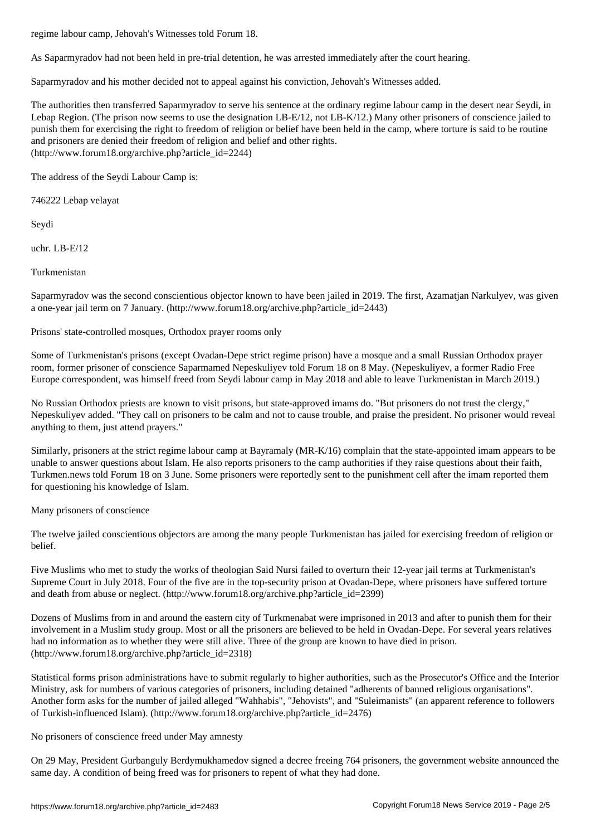As Saparmyradov had not been held in pre-trial detention, he was arrested immediately after the court hearing.

Saparmyradov and his mother decided not to appeal against his conviction, Jehovah's Witnesses added.

The authorities then transferred Saparmyradov to serve his sentence at the ordinary regime labour camp in the desert near Seydi, in Lebap Region. (The prison now seems to use the designation LB-E/12, not LB-K/12.) Many other prisoners of conscience jailed to punish them for exercising the right to freedom of religion or belief have been held in the camp, where torture is said to be routine and prisoners are denied their freedom of religion and belief and other rights. (http://www.forum18.org/archive.php?article\_id=2244)

The address of the Seydi Labour Camp is:

746222 Lebap velayat

Seydi

uchr. LB-E/12

Turkmenistan

Saparmyradov was the second conscientious objector known to have been jailed in 2019. The first, Azamatjan Narkulyev, was given a one-year jail term on 7 January. (http://www.forum18.org/archive.php?article\_id=2443)

Prisons' state-controlled mosques, Orthodox prayer rooms only

Some of Turkmenistan's prisons (except Ovadan-Depe strict regime prison) have a mosque and a small Russian Orthodox prayer room, former prisoner of conscience Saparmamed Nepeskuliyev told Forum 18 on 8 May. (Nepeskuliyev, a former Radio Free Europe correspondent, was himself freed from Seydi labour camp in May 2018 and able to leave Turkmenistan in March 2019.)

No Russian Orthodox priests are known to visit prisons, but state-approved imams do. "But prisoners do not trust the clergy," Nepeskuliyev added. "They call on prisoners to be calm and not to cause trouble, and praise the president. No prisoner would reveal anything to them, just attend prayers."

Similarly, prisoners at the strict regime labour camp at Bayramaly (MR-K/16) complain that the state-appointed imam appears to be unable to answer questions about Islam. He also reports prisoners to the camp authorities if they raise questions about their faith, Turkmen.news told Forum 18 on 3 June. Some prisoners were reportedly sent to the punishment cell after the imam reported them for questioning his knowledge of Islam.

Many prisoners of conscience

The twelve jailed conscientious objectors are among the many people Turkmenistan has jailed for exercising freedom of religion or belief.

Five Muslims who met to study the works of theologian Said Nursi failed to overturn their 12-year jail terms at Turkmenistan's Supreme Court in July 2018. Four of the five are in the top-security prison at Ovadan-Depe, where prisoners have suffered torture and death from abuse or neglect. (http://www.forum18.org/archive.php?article\_id=2399)

Dozens of Muslims from in and around the eastern city of Turkmenabat were imprisoned in 2013 and after to punish them for their involvement in a Muslim study group. Most or all the prisoners are believed to be held in Ovadan-Depe. For several years relatives had no information as to whether they were still alive. Three of the group are known to have died in prison. (http://www.forum18.org/archive.php?article\_id=2318)

Statistical forms prison administrations have to submit regularly to higher authorities, such as the Prosecutor's Office and the Interior Ministry, ask for numbers of various categories of prisoners, including detained "adherents of banned religious organisations". Another form asks for the number of jailed alleged "Wahhabis", "Jehovists", and "Suleimanists" (an apparent reference to followers of Turkish-influenced Islam). (http://www.forum18.org/archive.php?article\_id=2476)

No prisoners of conscience freed under May amnesty

On 29 May, President Gurbanguly Berdymukhamedov signed a decree freeing 764 prisoners, the government website announced the same day. A condition of being freed was for prisoners to repent of what they had done.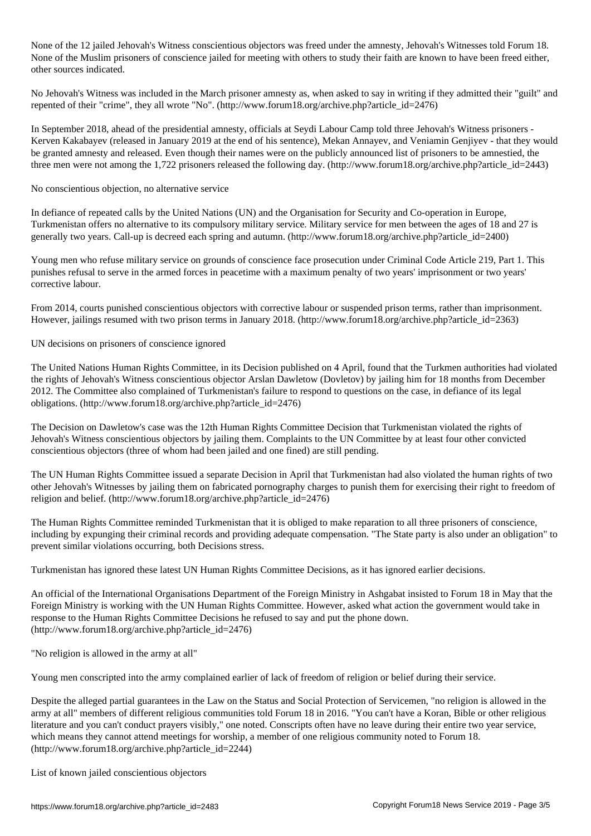None of the 12 jailed Jehovah's Witness conscientious objectors was freed under the amnesty, Jehovah's Witnesses told Forum 18. None of the Muslim prisoners of conscience jailed for meeting with others to study their faith are known to have been freed either, other sources indicated.

No Jehovah's Witness was included in the March prisoner amnesty as, when asked to say in writing if they admitted their "guilt" and repented of their "crime", they all wrote "No". (http://www.forum18.org/archive.php?article\_id=2476)

In September 2018, ahead of the presidential amnesty, officials at Seydi Labour Camp told three Jehovah's Witness prisoners - Kerven Kakabayev (released in January 2019 at the end of his sentence), Mekan Annayev, and Veniamin Genjiyev - that they would be granted amnesty and released. Even though their names were on the publicly announced list of prisoners to be amnestied, the three men were not among the 1,722 prisoners released the following day. (http://www.forum18.org/archive.php?article\_id=2443)

No conscientious objection, no alternative service

In defiance of repeated calls by the United Nations (UN) and the Organisation for Security and Co-operation in Europe, Turkmenistan offers no alternative to its compulsory military service. Military service for men between the ages of 18 and 27 is generally two years. Call-up is decreed each spring and autumn. (http://www.forum18.org/archive.php?article\_id=2400)

Young men who refuse military service on grounds of conscience face prosecution under Criminal Code Article 219, Part 1. This punishes refusal to serve in the armed forces in peacetime with a maximum penalty of two years' imprisonment or two years' corrective labour.

From 2014, courts punished conscientious objectors with corrective labour or suspended prison terms, rather than imprisonment. However, jailings resumed with two prison terms in January 2018. (http://www.forum18.org/archive.php?article\_id=2363)

UN decisions on prisoners of conscience ignored

The United Nations Human Rights Committee, in its Decision published on 4 April, found that the Turkmen authorities had violated the rights of Jehovah's Witness conscientious objector Arslan Dawletow (Dovletov) by jailing him for 18 months from December 2012. The Committee also complained of Turkmenistan's failure to respond to questions on the case, in defiance of its legal obligations. (http://www.forum18.org/archive.php?article\_id=2476)

The Decision on Dawletow's case was the 12th Human Rights Committee Decision that Turkmenistan violated the rights of Jehovah's Witness conscientious objectors by jailing them. Complaints to the UN Committee by at least four other convicted conscientious objectors (three of whom had been jailed and one fined) are still pending.

The UN Human Rights Committee issued a separate Decision in April that Turkmenistan had also violated the human rights of two other Jehovah's Witnesses by jailing them on fabricated pornography charges to punish them for exercising their right to freedom of religion and belief. (http://www.forum18.org/archive.php?article\_id=2476)

The Human Rights Committee reminded Turkmenistan that it is obliged to make reparation to all three prisoners of conscience, including by expunging their criminal records and providing adequate compensation. "The State party is also under an obligation" to prevent similar violations occurring, both Decisions stress.

Turkmenistan has ignored these latest UN Human Rights Committee Decisions, as it has ignored earlier decisions.

An official of the International Organisations Department of the Foreign Ministry in Ashgabat insisted to Forum 18 in May that the Foreign Ministry is working with the UN Human Rights Committee. However, asked what action the government would take in response to the Human Rights Committee Decisions he refused to say and put the phone down. (http://www.forum18.org/archive.php?article\_id=2476)

"No religion is allowed in the army at all"

Young men conscripted into the army complained earlier of lack of freedom of religion or belief during their service.

Despite the alleged partial guarantees in the Law on the Status and Social Protection of Servicemen, "no religion is allowed in the army at all" members of different religious communities told Forum 18 in 2016. "You can't have a Koran, Bible or other religious literature and you can't conduct prayers visibly," one noted. Conscripts often have no leave during their entire two year service, which means they cannot attend meetings for worship, a member of one religious community noted to Forum 18. (http://www.forum18.org/archive.php?article\_id=2244)

List of known jailed conscientious objectors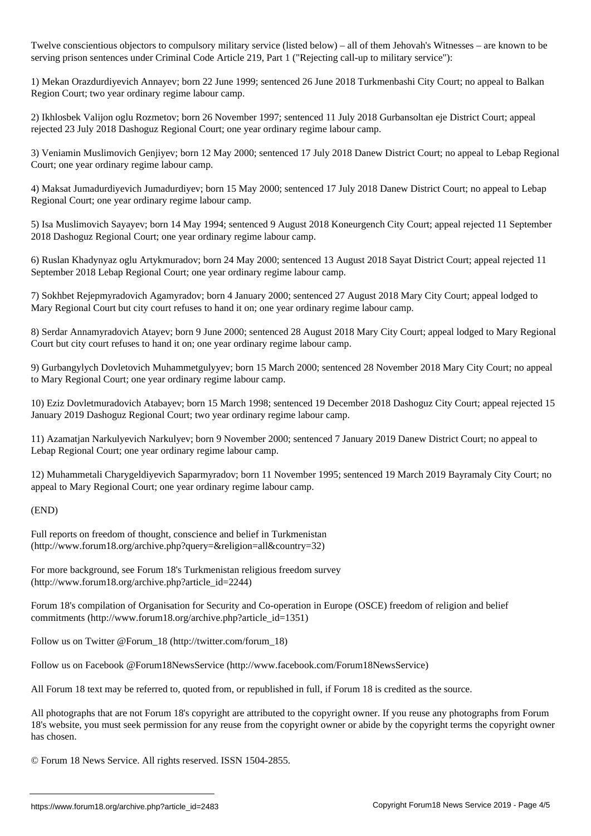Twelve constitution to computation objectors to computation (listed below) – all of them Jehovah's Witnesses – a serving prison sentences under Criminal Code Article 219, Part 1 ("Rejecting call-up to military service"):

1) Mekan Orazdurdiyevich Annayev; born 22 June 1999; sentenced 26 June 2018 Turkmenbashi City Court; no appeal to Balkan Region Court; two year ordinary regime labour camp.

2) Ikhlosbek Valijon oglu Rozmetov; born 26 November 1997; sentenced 11 July 2018 Gurbansoltan eje District Court; appeal rejected 23 July 2018 Dashoguz Regional Court; one year ordinary regime labour camp.

3) Veniamin Muslimovich Genjiyev; born 12 May 2000; sentenced 17 July 2018 Danew District Court; no appeal to Lebap Regional Court; one year ordinary regime labour camp.

4) Maksat Jumadurdiyevich Jumadurdiyev; born 15 May 2000; sentenced 17 July 2018 Danew District Court; no appeal to Lebap Regional Court; one year ordinary regime labour camp.

5) Isa Muslimovich Sayayev; born 14 May 1994; sentenced 9 August 2018 Koneurgench City Court; appeal rejected 11 September 2018 Dashoguz Regional Court; one year ordinary regime labour camp.

6) Ruslan Khadynyaz oglu Artykmuradov; born 24 May 2000; sentenced 13 August 2018 Sayat District Court; appeal rejected 11 September 2018 Lebap Regional Court; one year ordinary regime labour camp.

7) Sokhbet Rejepmyradovich Agamyradov; born 4 January 2000; sentenced 27 August 2018 Mary City Court; appeal lodged to Mary Regional Court but city court refuses to hand it on; one year ordinary regime labour camp.

8) Serdar Annamyradovich Atayev; born 9 June 2000; sentenced 28 August 2018 Mary City Court; appeal lodged to Mary Regional Court but city court refuses to hand it on; one year ordinary regime labour camp.

9) Gurbangylych Dovletovich Muhammetgulyyev; born 15 March 2000; sentenced 28 November 2018 Mary City Court; no appeal to Mary Regional Court; one year ordinary regime labour camp.

10) Eziz Dovletmuradovich Atabayev; born 15 March 1998; sentenced 19 December 2018 Dashoguz City Court; appeal rejected 15 January 2019 Dashoguz Regional Court; two year ordinary regime labour camp.

11) Azamatjan Narkulyevich Narkulyev; born 9 November 2000; sentenced 7 January 2019 Danew District Court; no appeal to Lebap Regional Court; one year ordinary regime labour camp.

12) Muhammetali Charygeldiyevich Saparmyradov; born 11 November 1995; sentenced 19 March 2019 Bayramaly City Court; no appeal to Mary Regional Court; one year ordinary regime labour camp.

## (END)

Full reports on freedom of thought, conscience and belief in Turkmenistan (http://www.forum18.org/archive.php?query=&religion=all&country=32)

For more background, see Forum 18's Turkmenistan religious freedom survey (http://www.forum18.org/archive.php?article\_id=2244)

Forum 18's compilation of Organisation for Security and Co-operation in Europe (OSCE) freedom of religion and belief commitments (http://www.forum18.org/archive.php?article\_id=1351)

Follow us on Twitter @Forum\_18 (http://twitter.com/forum\_18)

Follow us on Facebook @Forum18NewsService (http://www.facebook.com/Forum18NewsService)

All Forum 18 text may be referred to, quoted from, or republished in full, if Forum 18 is credited as the source.

All photographs that are not Forum 18's copyright are attributed to the copyright owner. If you reuse any photographs from Forum 18's website, you must seek permission for any reuse from the copyright owner or abide by the copyright terms the copyright owner has chosen.

© Forum 18 News Service. All rights reserved. ISSN 1504-2855.